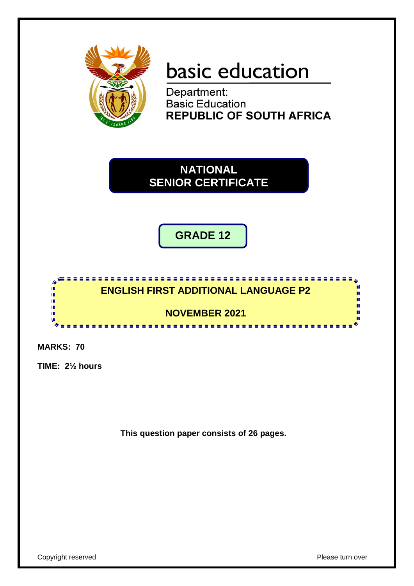

# basic education

Department: **Basic Education REPUBLIC OF SOUTH AFRICA** 

**NATIONAL SENIOR CERTIFICATE**

**GRADE 12**



**MARKS: 70**

**TIME: 2½ hours**

**This question paper consists of 26 pages.**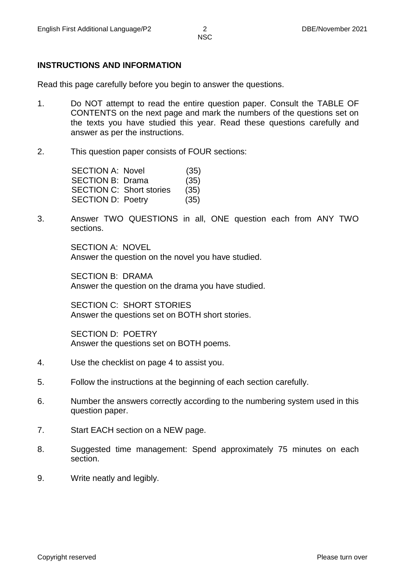#### **INSTRUCTIONS AND INFORMATION**

Read this page carefully before you begin to answer the questions.

- 1. Do NOT attempt to read the entire question paper. Consult the TABLE OF CONTENTS on the next page and mark the numbers of the questions set on the texts you have studied this year. Read these questions carefully and answer as per the instructions.
- 2. This question paper consists of FOUR sections:

| <b>SECTION A: Novel</b>         | (35) |
|---------------------------------|------|
| <b>SECTION B: Drama</b>         | (35) |
| <b>SECTION C: Short stories</b> | (35) |
| <b>SECTION D: Poetry</b>        | (35) |
|                                 |      |

3. Answer TWO QUESTIONS in all, ONE question each from ANY TWO sections.

> SECTION A: NOVEL Answer the question on the novel you have studied.

SECTION B: DRAMA Answer the question on the drama you have studied.

SECTION C: SHORT STORIES Answer the questions set on BOTH short stories.

SECTION D: POETRY Answer the questions set on BOTH poems.

- 4. Use the checklist on page 4 to assist you.
- 5. Follow the instructions at the beginning of each section carefully.
- 6. Number the answers correctly according to the numbering system used in this question paper.
- 7. Start EACH section on a NEW page.
- 8. Suggested time management: Spend approximately 75 minutes on each section.
- 9. Write neatly and legibly.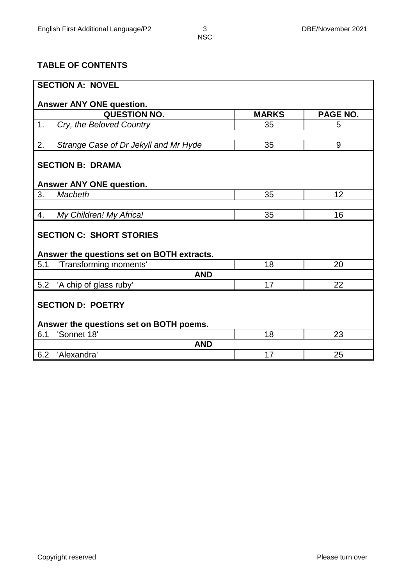### **TABLE OF CONTENTS**

| <b>SECTION A: NOVEL</b>                         |              |                 |  |  |  |  |  |
|-------------------------------------------------|--------------|-----------------|--|--|--|--|--|
|                                                 |              |                 |  |  |  |  |  |
| Answer ANY ONE question.<br><b>QUESTION NO.</b> | <b>MARKS</b> | <b>PAGE NO.</b> |  |  |  |  |  |
| 1.<br>Cry, the Beloved Country                  | 35           | 5               |  |  |  |  |  |
|                                                 |              |                 |  |  |  |  |  |
| Strange Case of Dr Jekyll and Mr Hyde<br>2.     | 35           | 9               |  |  |  |  |  |
| <b>SECTION B: DRAMA</b>                         |              |                 |  |  |  |  |  |
|                                                 |              |                 |  |  |  |  |  |
| Answer ANY ONE question.                        |              |                 |  |  |  |  |  |
| 3.<br>Macbeth                                   | 35           | 12              |  |  |  |  |  |
|                                                 |              |                 |  |  |  |  |  |
| My Children! My Africa!<br>4.                   | 35           | 16              |  |  |  |  |  |
| <b>SECTION C: SHORT STORIES</b>                 |              |                 |  |  |  |  |  |
|                                                 |              |                 |  |  |  |  |  |
| Answer the questions set on BOTH extracts.      |              |                 |  |  |  |  |  |
| 'Transforming moments'<br>5.1                   | 18           | 20              |  |  |  |  |  |
| <b>AND</b>                                      |              |                 |  |  |  |  |  |
| 5.2<br>'A chip of glass ruby'                   | 17           | 22              |  |  |  |  |  |
|                                                 |              |                 |  |  |  |  |  |
| <b>SECTION D: POETRY</b>                        |              |                 |  |  |  |  |  |
| Answer the questions set on BOTH poems.         |              |                 |  |  |  |  |  |
| 'Sonnet 18'<br>6.1                              | 18           | 23              |  |  |  |  |  |
| <b>AND</b>                                      |              |                 |  |  |  |  |  |
| 6.2<br>'Alexandra'                              | 17           | 25              |  |  |  |  |  |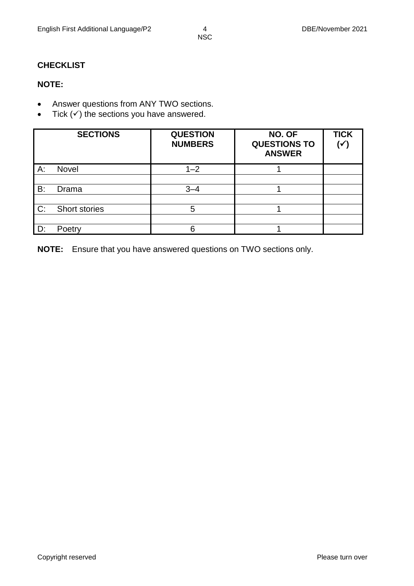## **CHECKLIST**

#### **NOTE:**

- Answer questions from ANY TWO sections.
- Tick  $(v)$  the sections you have answered.

|    | <b>SECTIONS</b> | <b>QUESTION</b><br><b>NUMBERS</b> | NO. OF<br><b>QUESTIONS TO</b><br><b>ANSWER</b> | <b>TICK</b><br>$(\checkmark)$ |
|----|-----------------|-----------------------------------|------------------------------------------------|-------------------------------|
| A: | <b>Novel</b>    | $1 - 2$                           |                                                |                               |
|    |                 |                                   |                                                |                               |
| B: | Drama           | $3 - 4$                           |                                                |                               |
|    |                 |                                   |                                                |                               |
| C: | Short stories   | 5                                 |                                                |                               |
|    |                 |                                   |                                                |                               |
| D: | Poetry          | հ                                 |                                                |                               |

**NOTE:** Ensure that you have answered questions on TWO sections only.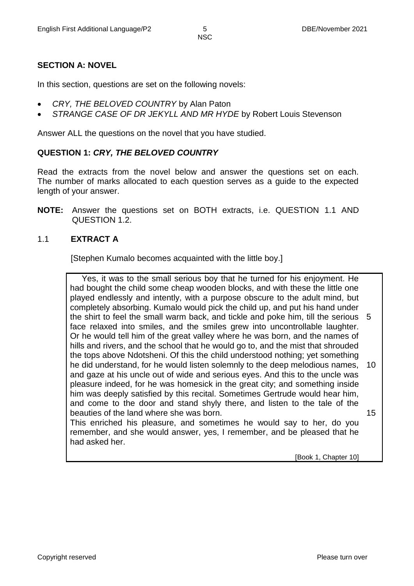#### **SECTION A: NOVEL**

In this section, questions are set on the following novels:

- *CRY, THE BELOVED COUNTRY* by Alan Paton
- *STRANGE CASE OF DR JEKYLL AND MR HYDE* by Robert Louis Stevenson

Answer ALL the questions on the novel that you have studied.

#### **QUESTION 1:** *CRY, THE BELOVED COUNTRY*

Read the extracts from the novel below and answer the questions set on each. The number of marks allocated to each question serves as a guide to the expected length of your answer.

**NOTE:** Answer the questions set on BOTH extracts, i.e. QUESTION 1.1 AND QUESTION 1.2.

#### 1.1 **EXTRACT A**

[Stephen Kumalo becomes acquainted with the little boy.]

 Yes, it was to the small serious boy that he turned for his enjoyment. He had bought the child some cheap wooden blocks, and with these the little one played endlessly and intently, with a purpose obscure to the adult mind, but completely absorbing. Kumalo would pick the child up, and put his hand under the shirt to feel the small warm back, and tickle and poke him, till the serious 5 face relaxed into smiles, and the smiles grew into uncontrollable laughter. Or he would tell him of the great valley where he was born, and the names of hills and rivers, and the school that he would go to, and the mist that shrouded the tops above Ndotsheni. Of this the child understood nothing; yet something he did understand, for he would listen solemnly to the deep melodious names, and gaze at his uncle out of wide and serious eyes. And this to the uncle was pleasure indeed, for he was homesick in the great city; and something inside him was deeply satisfied by this recital. Sometimes Gertrude would hear him, and come to the door and stand shyly there, and listen to the tale of the beauties of the land where she was born. This enriched his pleasure, and sometimes he would say to her, do you remember, and she would answer, yes, I remember, and be pleased that he had asked her. 10 15

[Book 1, Chapter 10]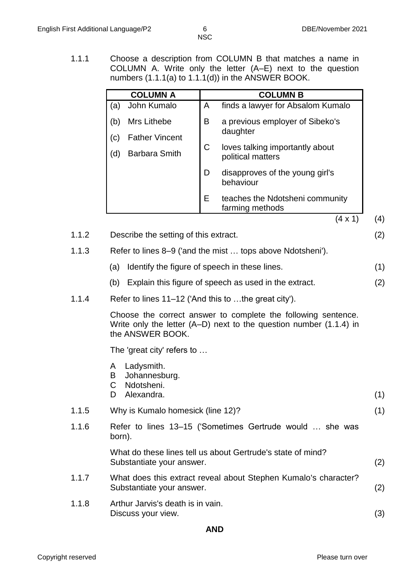1.1.1 Choose a description from COLUMN B that matches a name in COLUMN A. Write only the letter (A–E) next to the question numbers (1.1.1(a) to 1.1.1(d)) in the ANSWER BOOK.

|       | <b>COLUMN A</b>                                     | <b>COLUMN B</b>                                                                                                                         |     |
|-------|-----------------------------------------------------|-----------------------------------------------------------------------------------------------------------------------------------------|-----|
|       | John Kumalo<br>(a)                                  | A<br>finds a lawyer for Absalom Kumalo                                                                                                  |     |
|       | Mrs Lithebe<br>(b)<br><b>Father Vincent</b><br>(c)  | B<br>a previous employer of Sibeko's<br>daughter                                                                                        |     |
|       | <b>Barbara Smith</b><br>(d)                         | $\mathsf C$<br>loves talking importantly about<br>political matters                                                                     |     |
|       |                                                     | D<br>disapproves of the young girl's<br>behaviour                                                                                       |     |
|       |                                                     | Ε<br>teaches the Ndotsheni community<br>farming methods                                                                                 |     |
|       |                                                     | $(4 \times 1)$                                                                                                                          | (4) |
| 1.1.2 | Describe the setting of this extract.               |                                                                                                                                         | (2) |
| 1.1.3 |                                                     | Refer to lines 8–9 ('and the mist  tops above Ndotsheni').                                                                              |     |
|       | (a)                                                 | Identify the figure of speech in these lines.                                                                                           | (1) |
|       | (b)                                                 | Explain this figure of speech as used in the extract.                                                                                   | (2) |
| 1.1.4 |                                                     | Refer to lines 11–12 ('And this to the great city').                                                                                    |     |
|       | the ANSWER BOOK.                                    | Choose the correct answer to complete the following sentence.<br>Write only the letter $(A-D)$ next to the question number $(1.1.4)$ in |     |
|       | The 'great city' refers to                          |                                                                                                                                         |     |
|       | Ladysmith.<br>A<br>Johannesburg.<br>B<br>Ndotsheni. |                                                                                                                                         |     |
|       | Alexandra.<br>D                                     |                                                                                                                                         | (1) |
| 1.1.5 | Why is Kumalo homesick (line 12)?                   |                                                                                                                                         | (1) |
| 1.1.6 | born).                                              | Refer to lines 13–15 ('Sometimes Gertrude would  she was                                                                                |     |
|       | Substantiate your answer.                           | What do these lines tell us about Gertrude's state of mind?                                                                             | (2) |
| 1.1.7 | Substantiate your answer.                           | What does this extract reveal about Stephen Kumalo's character?                                                                         | (2) |
| 1.1.8 | Arthur Jarvis's death is in vain.                   |                                                                                                                                         |     |

Discuss your view. (3) **AND**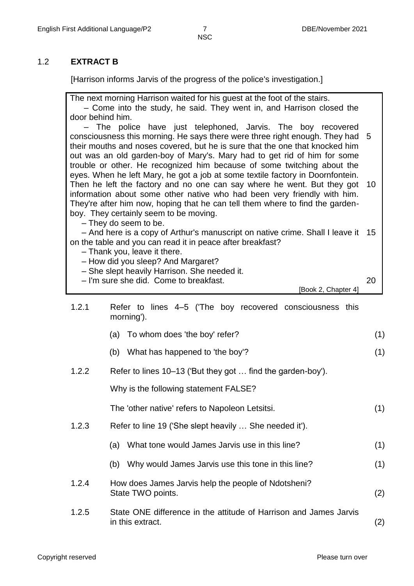#### 1.2 **EXTRACT B**

[Harrison informs Jarvis of the progress of the police's investigation.]

The next morning Harrison waited for his guest at the foot of the stairs. – Come into the study, he said. They went in, and Harrison closed the door behind him. – The police have just telephoned, Jarvis. The boy recovered consciousness this morning. He says there were three right enough. They had 5 their mouths and noses covered, but he is sure that the one that knocked him out was an old garden-boy of Mary's. Mary had to get rid of him for some trouble or other. He recognized him because of some twitching about the eyes. When he left Mary, he got a job at some textile factory in Doornfontein. Then he left the factory and no one can say where he went. But they got 10 information about some other native who had been very friendly with him. They're after him now, hoping that he can tell them where to find the gardenboy. They certainly seem to be moving. – They do seem to be. – And here is a copy of Arthur's manuscript on native crime. Shall I leave it 15 on the table and you can read it in peace after breakfast? – Thank you, leave it there. – How did you sleep? And Margaret? – She slept heavily Harrison. She needed it. – I'm sure she did. Come to breakfast. [Book 2, Chapter 4] 20 1.2.1 Refer to lines 4–5 ('The boy recovered consciousness this morning'). (a) To whom does 'the boy' refer? (1) (b) What has happened to 'the boy'? (1) 1.2.2 Refer to lines 10–13 ('But they got … find the garden-boy'). Why is the following statement FALSE? The 'other native' refers to Napoleon Letsitsi. (1) 1.2.3 Refer to line 19 ('She slept heavily … She needed it'). (a) What tone would James Jarvis use in this line? (1) (b) Why would James Jarvis use this tone in this line? (1) 1.2.4 How does James Jarvis help the people of Ndotsheni? State TWO points. (2) 1.2.5 State ONE difference in the attitude of Harrison and James Jarvis in this extract. (2)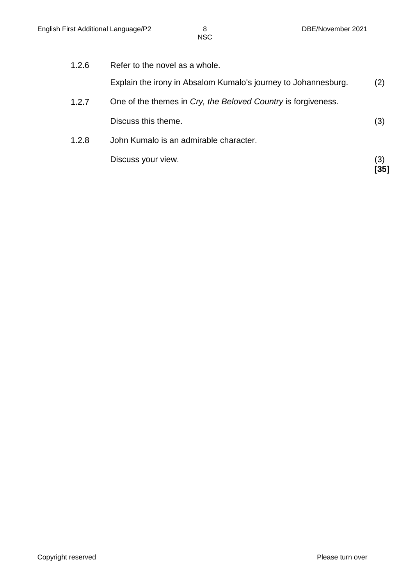|       | Discuss your view.                                             | (3)<br>35 |  |  |
|-------|----------------------------------------------------------------|-----------|--|--|
| 1.2.8 | John Kumalo is an admirable character.                         |           |  |  |
|       | Discuss this theme.                                            | (3)       |  |  |
| 1.2.7 | One of the themes in Cry, the Beloved Country is forgiveness.  |           |  |  |
|       | Explain the irony in Absalom Kumalo's journey to Johannesburg. | (2)       |  |  |
| 1.2.6 | Refer to the novel as a whole.                                 |           |  |  |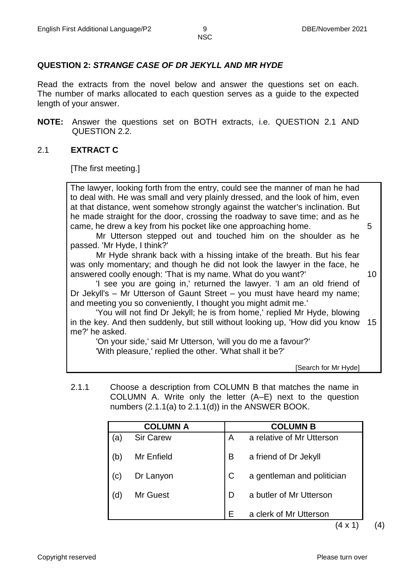#### **QUESTION 2:** *STRANGE CASE OF DR JEKYLL AND MR HYDE*

Read the extracts from the novel below and answer the questions set on each. The number of marks allocated to each question serves as a guide to the expected length of your answer.

**NOTE:** Answer the questions set on BOTH extracts, i.e. QUESTION 2.1 AND QUESTION 2.2.

#### 2.1 **EXTRACT C**

[The first meeting.]

The lawyer, looking forth from the entry, could see the manner of man he had to deal with. He was small and very plainly dressed, and the look of him, even at that distance, went somehow strongly against the watcher's inclination. But he made straight for the door, crossing the roadway to save time; and as he came, he drew a key from his pocket like one approaching home.

 Mr Utterson stepped out and touched him on the shoulder as he passed. 'Mr Hyde, I think?'

 Mr Hyde shrank back with a hissing intake of the breath. But his fear was only momentary; and though he did not look the lawyer in the face, he answered coolly enough: 'That is my name. What do you want?'

10

5

 'I see you are going in,' returned the lawyer. 'I am an old friend of Dr Jekyll's – Mr Utterson of Gaunt Street – you must have heard my name; and meeting you so conveniently, I thought you might admit me.'

 'You will not find Dr Jekyll; he is from home,' replied Mr Hyde, blowing in the key. And then suddenly, but still without looking up, 'How did you know 15 me?' he asked.

 'On your side,' said Mr Utterson, 'will you do me a favour?' 'With pleasure,' replied the other. 'What shall it be?'

[Search for Mr Hyde]

2.1.1 Choose a description from COLUMN B that matches the name in COLUMN A. Write only the letter (A–E) next to the question numbers  $(2.1.1(a)$  to  $2.1.1(d)$ ) in the ANSWER BOOK.

|           | <b>COLUMN A</b>  |              | <b>COLUMN B</b>                      |
|-----------|------------------|--------------|--------------------------------------|
| (a        | <b>Sir Carew</b> | A            | a relative of Mr Utterson            |
| (b)       | Mr Enfield       | B            | a friend of Dr Jekyll                |
| $\left( $ | Dr Lanyon        | $\mathsf{C}$ | a gentleman and politician           |
| (d        | Mr Guest         | D            | a butler of Mr Utterson              |
|           |                  | Е            | a clerk of Mr Utterson<br>$\sqrt{4}$ |

 $(4 \times 1)$  (4)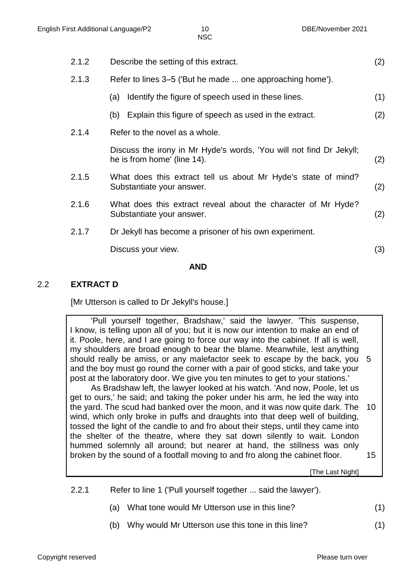|       | AND                                                                                                |     |  |  |
|-------|----------------------------------------------------------------------------------------------------|-----|--|--|
|       | Discuss your view.                                                                                 | (3) |  |  |
| 2.1.7 | Dr Jekyll has become a prisoner of his own experiment.                                             |     |  |  |
| 2.1.6 | What does this extract reveal about the character of Mr Hyde?<br>Substantiate your answer.         | (2) |  |  |
| 2.1.5 | What does this extract tell us about Mr Hyde's state of mind?<br>Substantiate your answer.         | (2) |  |  |
|       | Discuss the irony in Mr Hyde's words, 'You will not find Dr Jekyll;<br>he is from home' (line 14). | (2) |  |  |
| 2.1.4 | Refer to the novel as a whole.                                                                     |     |  |  |
|       | Explain this figure of speech as used in the extract.<br>(b)                                       | (2) |  |  |
|       | Identify the figure of speech used in these lines.<br>(a)                                          | (1) |  |  |
| 2.1.3 | Refer to lines 3–5 ('But he made  one approaching home').                                          |     |  |  |
| 2.1.2 | Describe the setting of this extract.                                                              |     |  |  |

#### 2.2 **EXTRACT D**

[Mr Utterson is called to Dr Jekyll's house.]

 'Pull yourself together, Bradshaw,' said the lawyer. 'This suspense, I know, is telling upon all of you; but it is now our intention to make an end of it. Poole, here, and I are going to force our way into the cabinet. If all is well, my shoulders are broad enough to bear the blame. Meanwhile, lest anything should really be amiss, or any malefactor seek to escape by the back, you 5 and the boy must go round the corner with a pair of good sticks, and take your post at the laboratory door. We give you ten minutes to get to your stations.'

 As Bradshaw left, the lawyer looked at his watch. 'And now, Poole, let us get to ours,' he said; and taking the poker under his arm, he led the way into the yard. The scud had banked over the moon, and it was now quite dark. The wind, which only broke in puffs and draughts into that deep well of building, tossed the light of the candle to and fro about their steps, until they came into the shelter of the theatre, where they sat down silently to wait. London hummed solemnly all around; but nearer at hand, the stillness was only broken by the sound of a footfall moving to and fro along the cabinet floor. 10 15

[The Last Night]

- 2.2.1 Refer to line 1 ('Pull yourself together ... said the lawyer').
	- (a) What tone would Mr Utterson use in this line? (1)
	- (b) Why would Mr Utterson use this tone in this line? (1)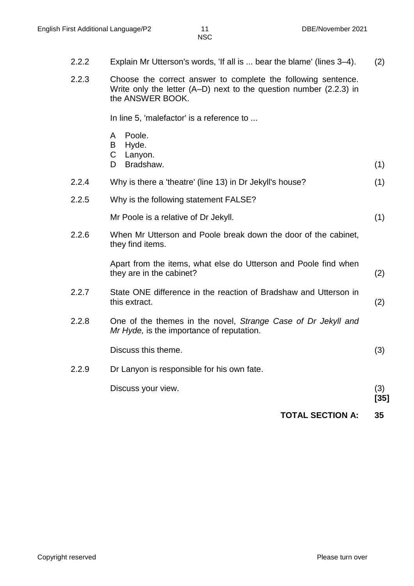- 2.2.2 Explain Mr Utterson's words, 'If all is ... bear the blame' (lines 3–4). (2)
- 2.2.3 Choose the correct answer to complete the following sentence. Write only the letter (A–D) next to the question number (2.2.3) in the ANSWER BOOK.

In line 5, 'malefactor' is a reference to ...

- A Poole.
- B Hyde.
- $\mathsf{C}$ Lanyon.
- D Bradshaw. (1)
- 2.2.4 Why is there a 'theatre' (line 13) in Dr Jekyll's house? (1)
- 2.2.5 Why is the following statement FALSE?

Mr Poole is a relative of Dr Jekyll. (1)

2.2.6 When Mr Utterson and Poole break down the door of the cabinet, they find items.

> Apart from the items, what else do Utterson and Poole find when they are in the cabinet? (2)

- 2.2.7 State ONE difference in the reaction of Bradshaw and Utterson in this extract. (2)
- 2.2.8 One of the themes in the novel, *Strange Case of Dr Jekyll and Mr Hyde,* is the importance of reputation.

Discuss this theme. (3)

2.2.9 Dr Lanyon is responsible for his own fate.

Discuss your view. (3)

- **[35]**
- **TOTAL SECTION A: 35**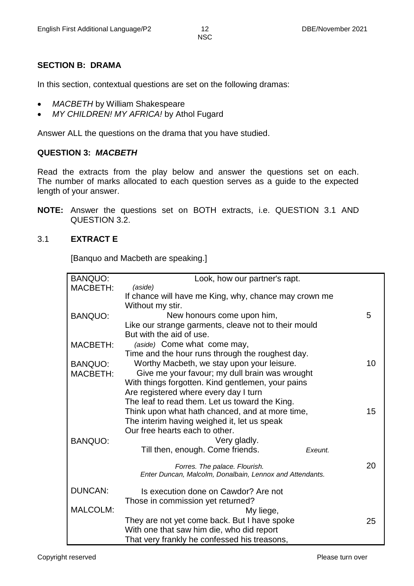#### **SECTION B: DRAMA**

In this section, contextual questions are set on the following dramas:

- *MACBETH* by William Shakespeare
- *MY CHILDREN! MY AFRICA!* by Athol Fugard

Answer ALL the questions on the drama that you have studied.

#### **QUESTION 3:** *MACBETH*

Read the extracts from the play below and answer the questions set on each. The number of marks allocated to each question serves as a guide to the expected length of your answer.

**NOTE:** Answer the questions set on BOTH extracts, i.e. QUESTION 3.1 AND QUESTION 3.2.

#### 3.1 **EXTRACT E**

[Banquo and Macbeth are speaking.]

| <b>BANQUO:</b>  | Look, how our partner's rapt.                            |    |
|-----------------|----------------------------------------------------------|----|
| MACBETH:        | (aside)                                                  |    |
|                 | If chance will have me King, why, chance may crown me    |    |
|                 | Without my stir.                                         |    |
| <b>BANQUO:</b>  | New honours come upon him,                               | 5  |
|                 | Like our strange garments, cleave not to their mould     |    |
|                 | But with the aid of use.                                 |    |
| MACBETH:        | (aside) Come what come may,                              |    |
|                 | Time and the hour runs through the roughest day.         |    |
| <b>BANQUO:</b>  | Worthy Macbeth, we stay upon your leisure.               | 10 |
| MACBETH:        | Give me your favour; my dull brain was wrought           |    |
|                 | With things forgotten. Kind gentlemen, your pains        |    |
|                 | Are registered where every day I turn                    |    |
|                 | The leaf to read them. Let us toward the King.           |    |
|                 | Think upon what hath chanced, and at more time,          | 15 |
|                 | The interim having weighed it, let us speak              |    |
|                 | Our free hearts each to other.                           |    |
| <b>BANQUO:</b>  | Very gladly.                                             |    |
|                 | Till then, enough. Come friends.<br>Exeunt.              |    |
|                 |                                                          |    |
|                 | Forres. The palace. Flourish.                            | 20 |
|                 | Enter Duncan, Malcolm, Donalbain, Lennox and Attendants. |    |
| <b>DUNCAN:</b>  | Is execution done on Cawdor? Are not                     |    |
|                 | Those in commission yet returned?                        |    |
| <b>MALCOLM:</b> | My liege,                                                |    |
|                 | They are not yet come back. But I have spoke             | 25 |
|                 | With one that saw him die, who did report                |    |
|                 | That very frankly he confessed his treasons,             |    |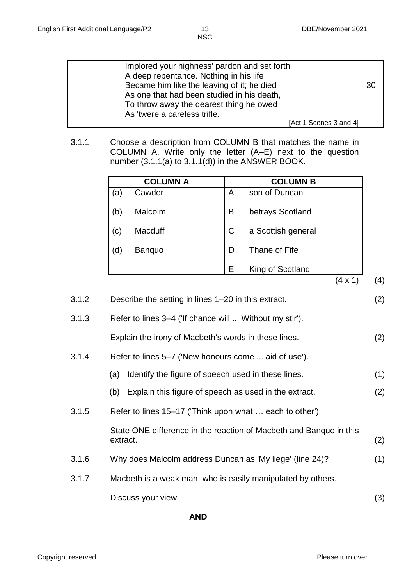| Implored your highness' pardon and set forth<br>A deep repentance. Nothing in his life   |                        |
|------------------------------------------------------------------------------------------|------------------------|
| Became him like the leaving of it; he died<br>As one that had been studied in his death, | 30                     |
| To throw away the dearest thing he owed<br>As 'twere a careless trifle.                  |                        |
|                                                                                          | [Act 1 Scenes 3 and 4] |

3.1.1 Choose a description from COLUMN B that matches the name in COLUMN A. Write only the letter (A–E) next to the question number (3.1.1(a) to 3.1.1(d)) in the ANSWER BOOK.

|     | <b>COLUMN A</b> |              | <b>COLUMN B</b>    |        |
|-----|-----------------|--------------|--------------------|--------|
| (a) | Cawdor          | A            | son of Duncan      |        |
| (b) | Malcolm         | B            | betrays Scotland   |        |
| (c) | Macduff         | $\mathsf{C}$ | a Scottish general |        |
| d)  | Banquo          | D            | Thane of Fife      |        |
|     |                 | Е            | King of Scotland   |        |
|     |                 |              |                    | ΄4 x 1 |

| 3.1.2 | Describe the setting in lines 1-20 in this extract.       | (2) |
|-------|-----------------------------------------------------------|-----|
| 3.1.3 | Refer to lines 3–4 ('If chance will  Without my stir').   |     |
|       | Explain the irony of Macbeth's words in these lines.      | (2) |
| 3.1.4 | Refer to lines 5–7 ('New honours come  aid of use').      |     |
|       | Identify the figure of speech used in these lines.<br>(a) | (1) |

- (b) Explain this figure of speech as used in the extract. (2)
- 3.1.5 Refer to lines 15–17 ('Think upon what … each to other').

State ONE difference in the reaction of Macbeth and Banquo in this extract. (2)

- 3.1.6 Why does Malcolm address Duncan as 'My liege' (line 24)? (1)
- 3.1.7 Macbeth is a weak man, who is easily manipulated by others. Discuss your view. (3)

**AND**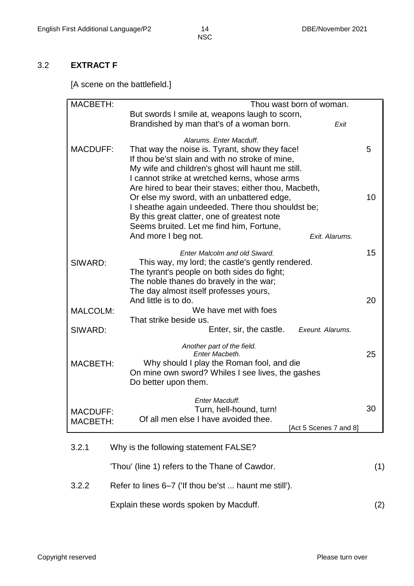#### 3.2 **EXTRACT F**

[A scene on the battlefield.]

| <b>MACBETH:</b> | Thou wast born of woman.                                                                             |     |
|-----------------|------------------------------------------------------------------------------------------------------|-----|
|                 | But swords I smile at, weapons laugh to scorn,                                                       |     |
|                 | Brandished by man that's of a woman born.<br>Exit                                                    |     |
|                 | Alarums. Enter Macduff.                                                                              |     |
| <b>MACDUFF:</b> | That way the noise is. Tyrant, show they face!                                                       | 5   |
|                 | If thou be'st slain and with no stroke of mine,<br>My wife and children's ghost will haunt me still. |     |
|                 | I cannot strike at wretched kerns, whose arms                                                        |     |
|                 | Are hired to bear their staves; either thou, Macbeth,                                                |     |
|                 | Or else my sword, with an unbattered edge,                                                           | 10  |
|                 | I sheathe again undeeded. There thou shouldst be;                                                    |     |
|                 | By this great clatter, one of greatest note                                                          |     |
|                 | Seems bruited. Let me find him, Fortune,<br>And more I beg not.<br>Exit. Alarums.                    |     |
|                 |                                                                                                      |     |
|                 | Enter Malcolm and old Siward.                                                                        | 15  |
| SIWARD:         | This way, my lord; the castle's gently rendered.                                                     |     |
|                 | The tyrant's people on both sides do fight;                                                          |     |
|                 | The noble thanes do bravely in the war;<br>The day almost itself professes yours,                    |     |
|                 | And little is to do.                                                                                 | 20  |
| <b>MALCOLM:</b> | We have met with foes                                                                                |     |
|                 | That strike beside us.                                                                               |     |
| SIWARD:         | Enter, sir, the castle.<br>Exeunt. Alarums.                                                          |     |
|                 | Another part of the field.                                                                           |     |
|                 | Enter Macbeth.                                                                                       | 25  |
| <b>MACBETH:</b> | Why should I play the Roman fool, and die                                                            |     |
|                 | On mine own sword? Whiles I see lives, the gashes<br>Do better upon them.                            |     |
|                 |                                                                                                      |     |
|                 | Enter Macduff.                                                                                       |     |
| <b>MACDUFF:</b> | Turn, hell-hound, turn!                                                                              | 30  |
| <b>MACBETH:</b> | Of all men else I have avoided thee.<br>[Act 5 Scenes 7 and 8]                                       |     |
|                 |                                                                                                      |     |
| 3.2.1           | Why is the following statement FALSE?                                                                |     |
|                 | 'Thou' (line 1) refers to the Thane of Cawdor.                                                       | (1) |
| 3.2.2           | Refer to lines 6–7 ('If thou be'st  haunt me still').                                                |     |
|                 | Explain these words spoken by Macduff.                                                               | (2) |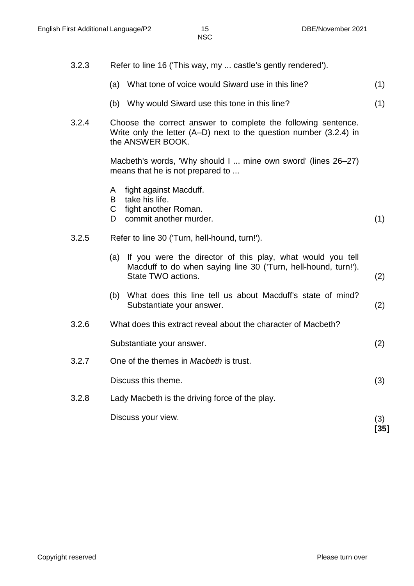- 3.2.3 Refer to line 16 ('This way, my ... castle's gently rendered'). (a) What tone of voice would Siward use in this line? (1)
	- (b) Why would Siward use this tone in this line? (1)
- 3.2.4 Choose the correct answer to complete the following sentence. Write only the letter (A–D) next to the question number (3.2.4) in the ANSWER BOOK.

Macbeth's words, 'Why should I ... mine own sword' (lines 26–27) means that he is not prepared to ...

- A fight against Macduff.
- B take his life.
- C fight another Roman.
- D. commit another murder. (1)
- 3.2.5 Refer to line 30 ('Turn, hell-hound, turn!').
	- (a) If you were the director of this play, what would you tell Macduff to do when saying line 30 ('Turn, hell-hound, turn!'). State TWO actions. (2)
	- (b) What does this line tell us about Macduff's state of mind? Substantiate your answer. (2)
- 3.2.6 What does this extract reveal about the character of Macbeth?

Substantiate your answer. (2)

3.2.7 One of the themes in *Macbeth* is trust.

Discuss this theme. (3)

3.2.8 Lady Macbeth is the driving force of the play.

Discuss your view. (3)

**[35]**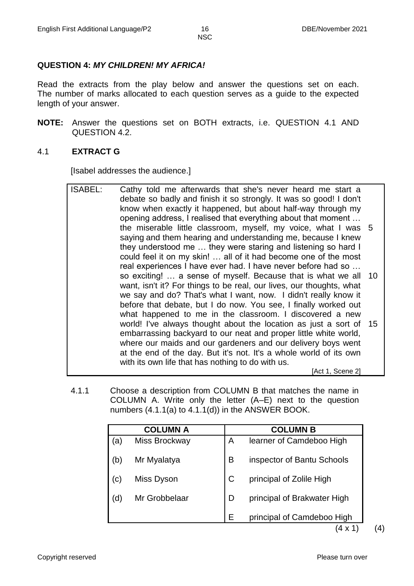#### **QUESTION 4:** *MY CHILDREN! MY AFRICA!*

Read the extracts from the play below and answer the questions set on each. The number of marks allocated to each question serves as a guide to the expected length of your answer.

**NOTE:** Answer the questions set on BOTH extracts, i.e. QUESTION 4.1 AND QUESTION 4.2.

#### 4.1 **EXTRACT G**

[Isabel addresses the audience.]

- ISABEL: Cathy told me afterwards that she's never heard me start a debate so badly and finish it so strongly. It was so good! I don't know when exactly it happened, but about half-way through my opening address, I realised that everything about that moment … the miserable little classroom, myself, my voice, what I was 5 saying and them hearing and understanding me, because I knew they understood me … they were staring and listening so hard I could feel it on my skin! … all of it had become one of the most real experiences I have ever had. I have never before had so … so exciting! … a sense of myself. Because that is what we all 10 want, isn't it? For things to be real, our lives, our thoughts, what we say and do? That's what I want, now. I didn't really know it before that debate, but I do now. You see, I finally worked out what happened to me in the classroom. I discovered a new world! I've always thought about the location as just a sort of 15 embarrassing backyard to our neat and proper little white world, where our maids and our gardeners and our delivery boys went at the end of the day. But it's not. It's a whole world of its own with its own life that has nothing to do with us. [Act 1, Scene 2]
- 4.1.1 Choose a description from COLUMN B that matches the name in COLUMN A. Write only the letter (A–E) next to the question numbers (4.1.1(a) to 4.1.1(d)) in the ANSWER BOOK.

| <b>COLUMN A</b>            |               | <b>COLUMN B</b> |                                      |
|----------------------------|---------------|-----------------|--------------------------------------|
| (a)                        | Miss Brockway | A               | learner of Camdeboo High             |
| (b)                        | Mr Myalatya   | B               | inspector of Bantu Schools           |
| $\left( \mathrm{c}\right)$ | Miss Dyson    | $\mathsf{C}$    | principal of Zolile High             |
| (d)                        | Mr Grobbelaar | D               | principal of Brakwater High          |
|                            |               | Е               | principal of Camdeboo High<br>(1, 3) |

 $(4 \times 1)$  (4)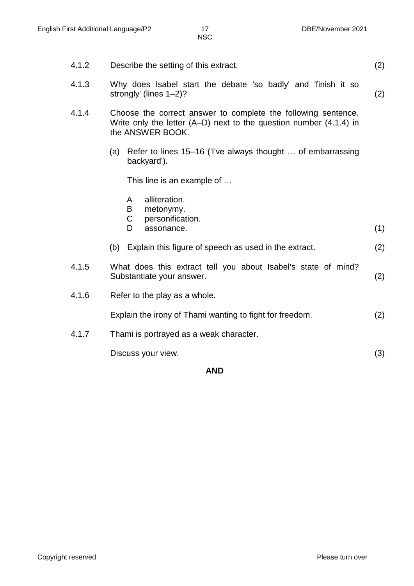- 4.1.2 Describe the setting of this extract. (2)
- 4.1.3 Why does Isabel start the debate 'so badly' and 'finish it so strongly' (lines 1–2)? (2)
- 4.1.4 Choose the correct answer to complete the following sentence. Write only the letter (A–D) next to the question number (4.1.4) in the ANSWER BOOK.
	- (a) Refer to lines 15–16 ('I've always thought … of embarrassing backyard').

This line is an example of …

- A alliteration.
- B metonymy.
- C personification.
- D assonance. (1)
- (b) Explain this figure of speech as used in the extract. (2)
- 4.1.5 What does this extract tell you about Isabel's state of mind? Substantiate your answer. (2)
- 4.1.6 Refer to the play as a whole.

Explain the irony of Thami wanting to fight for freedom. (2)

4.1.7 Thami is portrayed as a weak character.

Discuss your view. (3)

**AND**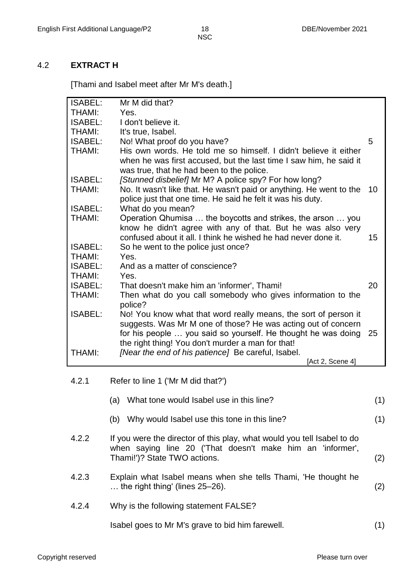#### 4.2 **EXTRACT H**

[Thami and Isabel meet after Mr M's death.]

| <b>ISABEL:</b> | Mr M did that?                                                      |    |
|----------------|---------------------------------------------------------------------|----|
|                |                                                                     |    |
| <b>THAMI:</b>  | Yes.                                                                |    |
| <b>ISABEL:</b> | I don't believe it.                                                 |    |
| <b>THAMI:</b>  | It's true, Isabel.                                                  |    |
| <b>ISABEL:</b> | No! What proof do you have?                                         | 5  |
| <b>THAMI:</b>  | His own words. He told me so himself. I didn't believe it either    |    |
|                | when he was first accused, but the last time I saw him, he said it  |    |
|                | was true, that he had been to the police.                           |    |
| <b>ISABEL:</b> | [Stunned disbelief] Mr M? A police spy? For how long?               |    |
| <b>THAMI:</b>  | No. It wasn't like that. He wasn't paid or anything. He went to the | 10 |
|                | police just that one time. He said he felt it was his duty.         |    |
| <b>ISABEL:</b> | What do you mean?                                                   |    |
| <b>THAMI:</b>  | Operation Qhumisa  the boycotts and strikes, the arson  you         |    |
|                | know he didn't agree with any of that. But he was also very         |    |
|                | confused about it all. I think he wished he had never done it.      | 15 |
| <b>ISABEL:</b> | So he went to the police just once?                                 |    |
| <b>THAMI:</b>  | Yes.                                                                |    |
| <b>ISABEL:</b> | And as a matter of conscience?                                      |    |
| <b>THAMI:</b>  | Yes.                                                                |    |
|                |                                                                     |    |
| <b>ISABEL:</b> | That doesn't make him an 'informer', Thami!                         | 20 |
| <b>THAMI:</b>  | Then what do you call somebody who gives information to the         |    |
|                | police?                                                             |    |
| <b>ISABEL:</b> | No! You know what that word really means, the sort of person it     |    |
|                | suggests. Was Mr M one of those? He was acting out of concern       |    |
|                | for his people  you said so yourself. He thought he was doing       | 25 |
|                | the right thing! You don't murder a man for that!                   |    |
| <b>THAMI:</b>  | [Near the end of his patience] Be careful, Isabel.                  |    |
|                | [Act 2, Scene 4]                                                    |    |
|                |                                                                     |    |
|                |                                                                     |    |

| (a) What tone would Isabel use in this line? |  |
|----------------------------------------------|--|
|                                              |  |

- (b) Why would Isabel use this tone in this line? (1)
- 4.2.2 If you were the director of this play, what would you tell Isabel to do when saying line 20 ('That doesn't make him an 'informer', Thami!')? State TWO actions. (2)
- 4.2.3 Explain what Isabel means when she tells Thami, 'He thought he … the right thing' (lines 25–26). (2)
- 4.2.4 Why is the following statement FALSE?

Isabel goes to Mr M's grave to bid him farewell. (1)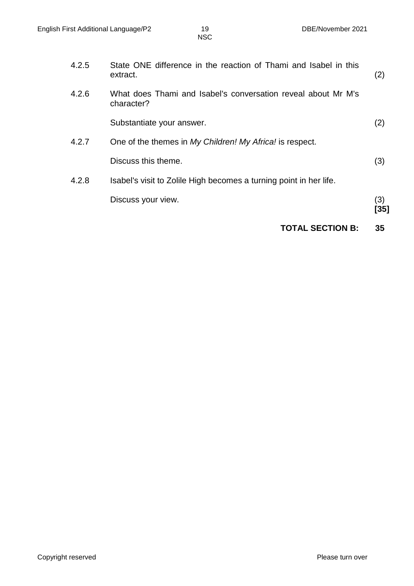|       | <b>TOTAL SECTION B:</b>                                                      | 35   |
|-------|------------------------------------------------------------------------------|------|
|       |                                                                              | [35] |
|       | Discuss your view.                                                           | (3)  |
| 4.2.8 | Isabel's visit to Zolile High becomes a turning point in her life.           |      |
|       | Discuss this theme.                                                          | (3)  |
| 4.2.7 | One of the themes in My Children! My Africa! is respect.                     |      |
|       | Substantiate your answer.                                                    | (2)  |
| 4.2.6 | What does Thami and Isabel's conversation reveal about Mr M's<br>character?  |      |
| 4.2.5 | State ONE difference in the reaction of Thami and Isabel in this<br>extract. | (2)  |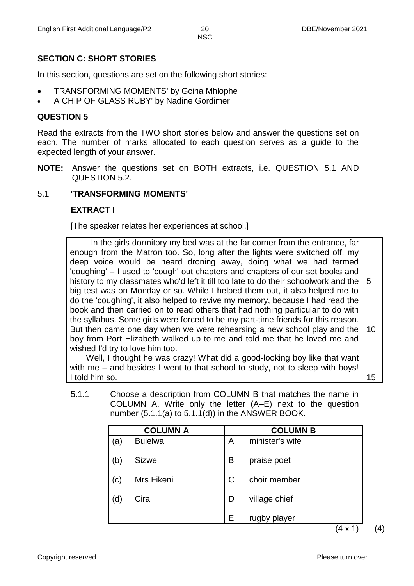#### **SECTION C: SHORT STORIES**

In this section, questions are set on the following short stories:

- 'TRANSFORMING MOMENTS' by Gcina Mhlophe
- 'A CHIP OF GLASS RUBY' by Nadine Gordimer

#### **QUESTION 5**

Read the extracts from the TWO short stories below and answer the questions set on each. The number of marks allocated to each question serves as a guide to the expected length of your answer.

**NOTE:** Answer the questions set on BOTH extracts, i.e. QUESTION 5.1 AND QUESTION 5.2.

#### 5.1 **'TRANSFORMING MOMENTS'**

#### **EXTRACT I**

[The speaker relates her experiences at school.]

 In the girls dormitory my bed was at the far corner from the entrance, far enough from the Matron too. So, long after the lights were switched off, my deep voice would be heard droning away, doing what we had termed 'coughing' – I used to 'cough' out chapters and chapters of our set books and history to my classmates who'd left it till too late to do their schoolwork and the 5 big test was on Monday or so. While I helped them out, it also helped me to do the 'coughing', it also helped to revive my memory, because I had read the book and then carried on to read others that had nothing particular to do with the syllabus. Some girls were forced to be my part-time friends for this reason. But then came one day when we were rehearsing a new school play and the boy from Port Elizabeth walked up to me and told me that he loved me and wished I'd try to love him too. 10

 Well, I thought he was crazy! What did a good-looking boy like that want with me – and besides I went to that school to study, not to sleep with boys! I told him so.

5.1.1 Choose a description from COLUMN B that matches the name in COLUMN A. Write only the letter (A–E) next to the question number  $(5.1.1(a)$  to  $5.1.1(d)$  in the ANSWER BOOK.

|                | <b>COLUMN A</b> | <b>COLUMN B</b> |                 |  |
|----------------|-----------------|-----------------|-----------------|--|
| (a)            | <b>Bulelwa</b>  | A               | minister's wife |  |
| (b)            | <b>Sizwe</b>    | B               | praise poet     |  |
| $(\mathtt{c})$ | Mrs Fikeni      | C               | choir member    |  |
| (d             | Cira            | D               | village chief   |  |
|                |                 | E               | rugby player    |  |

 $(4 \times 1)$  (4)

15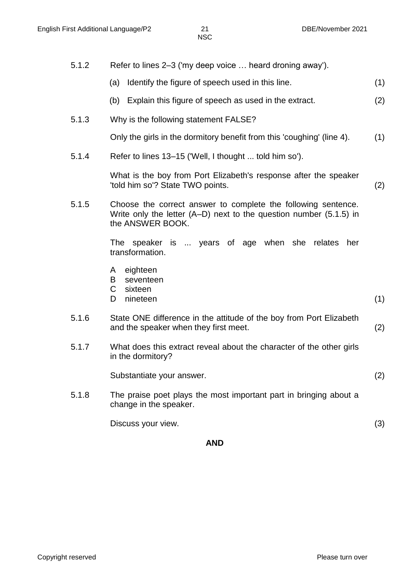5.1.2 Refer to lines 2–3 ('my deep voice … heard droning away'). (a) Identify the figure of speech used in this line. (1) (b) Explain this figure of speech as used in the extract. (2) 5.1.3 Why is the following statement FALSE? Only the girls in the dormitory benefit from this 'coughing' (line 4). (1)

5.1.4 Refer to lines 13–15 ('Well, I thought ... told him so').

What is the boy from Port Elizabeth's response after the speaker 'told him so'? State TWO points. (2)

5.1.5 Choose the correct answer to complete the following sentence. Write only the letter (A–D) next to the question number (5.1.5) in the ANSWER BOOK.

> The speaker is ... years of age when she relates her transformation.

- A eighteen
- B seventeen
- $\mathbf{C}$ sixteen
- D nineteen (1)
- 5.1.6 State ONE difference in the attitude of the boy from Port Elizabeth and the speaker when they first meet. (2)
- 5.1.7 What does this extract reveal about the character of the other girls in the dormitory?

Substantiate your answer. (2)

5.1.8 The praise poet plays the most important part in bringing about a change in the speaker.

Discuss your view. (3)

**AND**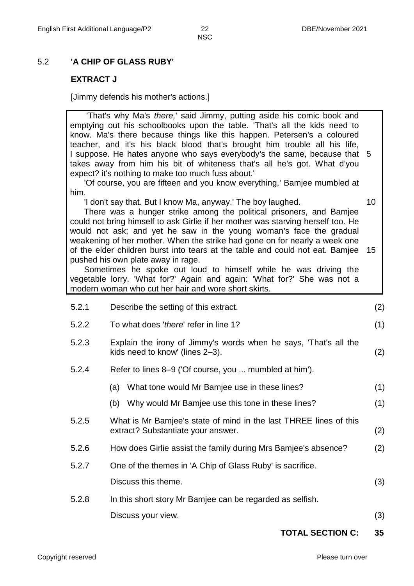10

**NSC** 

#### 5.2 **'A CHIP OF GLASS RUBY'**

#### **EXTRACT J**

[Jimmy defends his mother's actions.]

 'That's why Ma's *there,*' said Jimmy, putting aside his comic book and emptying out his schoolbooks upon the table. 'That's all the kids need to know. Ma's there because things like this happen. Petersen's a coloured teacher, and it's his black blood that's brought him trouble all his life, I suppose. He hates anyone who says everybody's the same, because that 5 takes away from him his bit of whiteness that's all he's got. What d'you expect? it's nothing to make too much fuss about.'

 'Of course, you are fifteen and you know everything,' Bamjee mumbled at him.

'I don't say that. But I know Ma, anyway.' The boy laughed.

 There was a hunger strike among the political prisoners, and Bamjee could not bring himself to ask Girlie if her mother was starving herself too. He would not ask; and yet he saw in the young woman's face the gradual weakening of her mother. When the strike had gone on for nearly a week one of the elder children burst into tears at the table and could not eat. Bamjee 15 pushed his own plate away in rage.

 Sometimes he spoke out loud to himself while he was driving the vegetable lorry. 'What for?' Again and again: 'What for?' She was not a modern woman who cut her hair and wore short skirts.

| 5.2.1 | Describe the setting of this extract.                                                                   | (2) |
|-------|---------------------------------------------------------------------------------------------------------|-----|
| 5.2.2 | To what does 'there' refer in line 1?                                                                   | (1) |
| 5.2.3 | Explain the irony of Jimmy's words when he says, 'That's all the<br>kids need to know' (lines 2-3).     | (2) |
| 5.2.4 | Refer to lines 8–9 ('Of course, you  mumbled at him').                                                  |     |
|       | What tone would Mr Bamjee use in these lines?<br>(a)                                                    | (1) |
|       | Why would Mr Bamjee use this tone in these lines?<br>(b)                                                | (1) |
| 5.2.5 | What is Mr Bamjee's state of mind in the last THREE lines of this<br>extract? Substantiate your answer. | (2) |
| 5.2.6 | How does Girlie assist the family during Mrs Bamjee's absence?                                          | (2) |
| 5.2.7 | One of the themes in 'A Chip of Glass Ruby' is sacrifice.                                               |     |
|       | Discuss this theme.                                                                                     | (3) |
| 5.2.8 | In this short story Mr Bamjee can be regarded as selfish.                                               |     |
|       | Discuss your view.                                                                                      | (3) |
|       |                                                                                                         |     |

#### **TOTAL SECTION C: 35**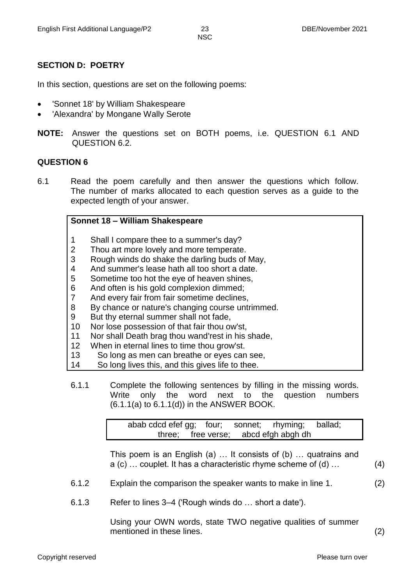#### **SECTION D: POETRY**

In this section, questions are set on the following poems:

- 'Sonnet 18' by William Shakespeare
- 'Alexandra' by Mongane Wally Serote
- **NOTE:** Answer the questions set on BOTH poems, i.e. QUESTION 6.1 AND QUESTION 6.2.

#### **QUESTION 6**

6.1 Read the poem carefully and then answer the questions which follow. The number of marks allocated to each question serves as a guide to the expected length of your answer.

#### **Sonnet 18 – William Shakespeare**

- 1 Shall I compare thee to a summer's day?
- 2 Thou art more lovely and more temperate.
- 3 Rough winds do shake the darling buds of May,
- 4 And summer's lease hath all too short a date.
- 5 Sometime too hot the eye of heaven shines,
- 6 And often is his gold complexion dimmed;
- 7 And every fair from fair sometime declines,
- 8 By chance or nature's changing course untrimmed.
- 9 But thy eternal summer shall not fade,
- 10 Nor lose possession of that fair thou ow'st,
- 11 Nor shall Death brag thou wand'rest in his shade,
- 12 When in eternal lines to time thou grow'st.
- 13 So long as men can breathe or eyes can see,
- 14 So long lives this, and this gives life to thee.
- 6.1.1 Complete the following sentences by filling in the missing words. Write only the word next to the question numbers  $(6.1.1(a)$  to  $6.1.1(d)$  in the ANSWER BOOK.

| abab cdcd efef gg; four; sonnet; rhyming; ballad; |                                      |  |  |
|---------------------------------------------------|--------------------------------------|--|--|
|                                                   | three; free verse; abcd efgh abgh dh |  |  |

This poem is an English (a) … It consists of (b) … quatrains and a (c) … couplet. It has a characteristic rhyme scheme of (d) … (4)

- 6.1.2 Explain the comparison the speaker wants to make in line 1. (2)
- 6.1.3 Refer to lines 3–4 ('Rough winds do … short a date').

Using your OWN words, state TWO negative qualities of summer mentioned in these lines. (2)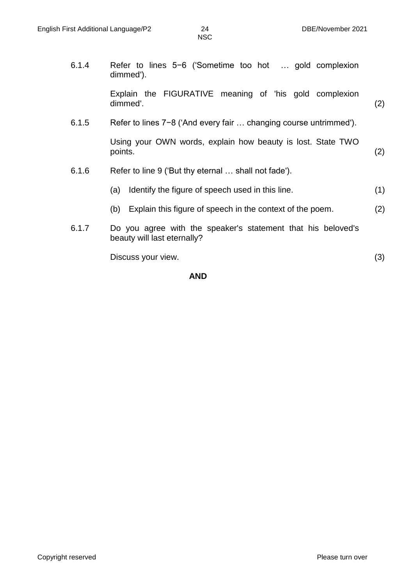6.1.4 Refer to lines 5−6 ('Sometime too hot … gold complexion dimmed'). Explain the FIGURATIVE meaning of 'his gold complexion dimmed'. (2) 6.1.5 Refer to lines 7−8 ('And every fair … changing course untrimmed'). Using your OWN words, explain how beauty is lost. State TWO points. (2) 6.1.6 Refer to line 9 ('But thy eternal … shall not fade'). (a) Identify the figure of speech used in this line. (1) (b) Explain this figure of speech in the context of the poem. (2) 6.1.7 Do you agree with the speaker's statement that his beloved's beauty will last eternally? Discuss your view. (3) **AND**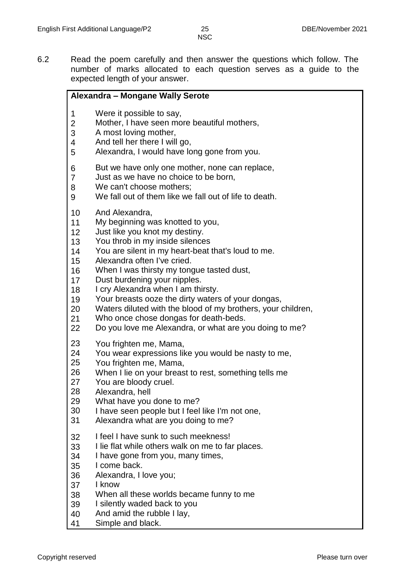6.2 Read the poem carefully and then answer the questions which follow. The number of marks allocated to each question serves as a guide to the expected length of your answer.

#### **Alexandra – Mongane Wally Serote**

- 1 Were it possible to say,
- 2 Mother, I have seen more beautiful mothers,
- 3 A most loving mother,
- 4 And tell her there I will go,
- 5 Alexandra, I would have long gone from you.
- 6 But we have only one mother, none can replace,
- 7 Just as we have no choice to be born,
- 8 We can't choose mothers;
- 9 We fall out of them like we fall out of life to death.
- 10 And Alexandra,
- 11 My beginning was knotted to you,
- 12 Just like you knot my destiny.
- 13 You throb in my inside silences
- 14 You are silent in my heart-beat that's loud to me.
- 15 Alexandra often I've cried.
- 16 When I was thirsty my tongue tasted dust,
- 17 Dust burdening your nipples.
- 18 I cry Alexandra when I am thirsty.
- 19 Your breasts ooze the dirty waters of your dongas,
- 20 Waters diluted with the blood of my brothers, your children,
- 21 Who once chose dongas for death-beds.
- 22 Do you love me Alexandra, or what are you doing to me?
- 23 You frighten me, Mama,
- 24 You wear expressions like you would be nasty to me,
- 25 You frighten me, Mama,
- 26 When I lie on your breast to rest, something tells me
- 27 You are bloody cruel.
- 28 Alexandra, hell
- 29 What have you done to me?
- 30 I have seen people but I feel like I'm not one,
- 31 Alexandra what are you doing to me?
- 32 I feel I have sunk to such meekness!
- 33 I lie flat while others walk on me to far places.
- 34 I have gone from you, many times,
- 35 I come back.
- 36 Alexandra, I love you;
- 37 I know
- 38 When all these worlds became funny to me
- 39 I silently waded back to you
- 40 And amid the rubble I lay,
- 41 Simple and black.